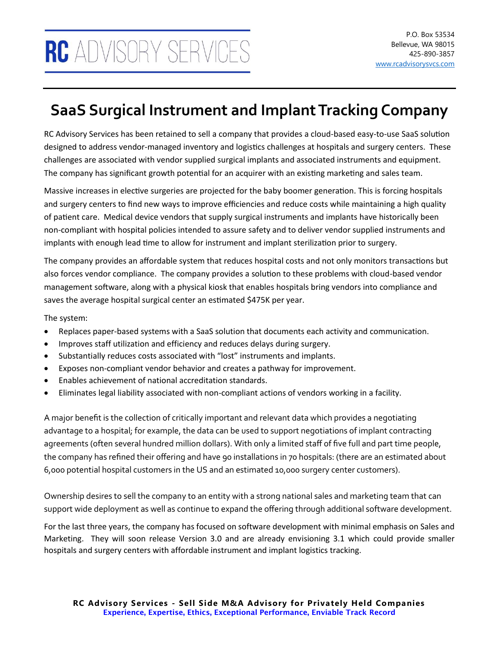## **SaaS Surgical Instrument and Implant Tracking Company**

RC Advisory Services has been retained to sell a company that provides a cloud-based easy-to-use SaaS solution designed to address vendor-managed inventory and logistics challenges at hospitals and surgery centers. These challenges are associated with vendor supplied surgical implants and associated instruments and equipment. The company has significant growth potential for an acquirer with an existing marketing and sales team.

Massive increases in elective surgeries are projected for the baby boomer generation. This is forcing hospitals and surgery centers to find new ways to improve efficiencies and reduce costs while maintaining a high quality of patient care. Medical device vendors that supply surgical instruments and implants have historically been non-compliant with hospital policies intended to assure safety and to deliver vendor supplied instruments and implants with enough lead time to allow for instrument and implant sterilization prior to surgery.

The company provides an affordable system that reduces hospital costs and not only monitors transactions but also forces vendor compliance. The company provides a solution to these problems with cloud-based vendor management software, along with a physical kiosk that enables hospitals bring vendors into compliance and saves the average hospital surgical center an estimated \$475K per year.

The system:

- Replaces paper-based systems with a SaaS solution that documents each activity and communication.
- Improves staff utilization and efficiency and reduces delays during surgery.
- Substantially reduces costs associated with "lost" instruments and implants.
- Exposes non-compliant vendor behavior and creates a pathway for improvement.
- Enables achievement of national accreditation standards.
- Eliminates legal liability associated with non-compliant actions of vendors working in a facility.

A major benefit is the collection of critically important and relevant data which provides a negotiating advantage to a hospital; for example, the data can be used to support negotiations of implant contracting agreements (often several hundred million dollars). With only a limited staff of five full and part time people, the company has refined their offering and have 90 installations in 70 hospitals: (there are an estimated about 6,000 potential hospital customers in the US and an estimated 10,000 surgery center customers).

Ownership desires to sell the company to an entity with a strong national sales and marketing team that can support wide deployment as well as continue to expand the offering through additional software development.

For the last three years, the company has focused on software development with minimal emphasis on Sales and Marketing. They will soon release Version 3.0 and are already envisioning 3.1 which could provide smaller hospitals and surgery centers with affordable instrument and implant logistics tracking.